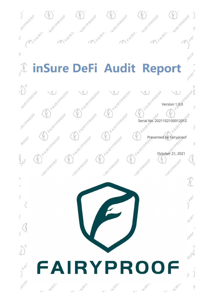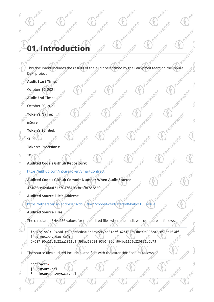## FAIRYPROOF **Music Conduction**

This document includes the results of the audit performed by the Fairyproof team on the inSure of the Audit Start Time: FAIRYPP DeFi project.

FAIRY PROOF

F. Antry Proof

FAIRYPROOF

FAIRYPROOF

Algyptook

FAIRY PROOF

FAIRY ROOF

FAIRY REDOF

Jegoog Jegoog

FAIRY REDOF

FRIRTPROOF

FAIRY PROOF

FAIRYPRE

1800F

Jegoog C

ROO

 $\mathcal{Q}_L$ 

FAIRY RADOF

ġ

- **Audit Start Time:**
- October 19, 2021
- **Audit End Time:**
- October 20, 2021
- **Token's Name:** 
	- inSure

SURE

- **Token's Symbol:**
- **Token's Precisions:**
- 18

 $\frac{1}{b}$ 

 $\zeta$ 

K

FR

**PHP** 

ý,

ó

- **Audited Code's Github Repository:** www.com/inSureToken/SmartContract
- Š.
- **Audited Code's Github Commit Number When Audit Started:**<br>Audited Code's Github Commit Number When Audit Started:<br>A74f85ce42afaaf31370476420cbcafbf78382fd<br>Audited Source File:
	- 474f85ce42afaaf31370476420cbcafbf78382fd
	- **Audited Source File's Address:**
- Audited Source File's Address:<br><https://etherscan.io/address/0xcb86c6a22cb56b6cf40cafedb06ba0df188a416e>

FAIRY PROOF

FAIRY PROOF

FAIRYPROOF

- **Audited Source Files:**
	- The calculated SHA-256 values for the audited files when the audit was done are as follows:
		- inSure.sol: 0xc8d1ed2ecb6cdc015b5e922e7ba31e7f1628f07c94be90d006ea71c82ac565df<br>inSureBSCAnySwap.sol:<br>0x087f90e15e5b22aa2f11b4f598ed68614f95b5480cf904bc1153.35 inSureBSCAnySwap.sol:  $\circ^{\diamond}$ 0x087f90e15e5b22aa2f11b4f598ed68614f95b5480cf904be1169c220831c0b75

**18800F** 

18ROOF

- The source files audited include all the files with the extension "sol" as follows:
	- contracts/ ├── inSure.sol inSureBSCAnySwap.sol

Jemplor

JPROOF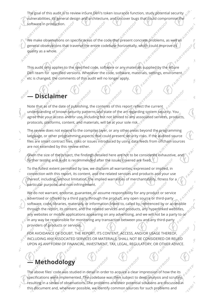The goal of this audit is to review inSure DeFi's token issurance function, study potential security vulnerabilities, its general design and architecture, and uncover bugs that could compromise the software in production.

We make observations on specific areas of the code that present concrete problems, as well as general observations that traverse the entire codebase horizontally, which could improve its quality as a whole.

This audit only applies to the specified code, software or any materials supplied by the inSure DeFi team for specified versions. Whenever the code, software, materials, settings, enviroment etc is changed, the comments of this audit will no longer apply.

Ŝ

#### **— Disclaimer**

Note that as of the date of publishing, the contents of this report reflect the current understanding of known security patterns and state of the art regarding system security. You agree that your access and/or use, including but not limited to any associated services, products, protocols, platforms, content, and materials, will be at your sole risk.

The review does not extend to the compiler layer, or any other areas beyond the programming language, or other programming aspects that could present security risks. If the audited source files are smart contract files, risks or issues introduced by using data feeds from offchain sources are not extended by this review either.

Given the size of the project, the findings detailed here are not to be considered exhaustive, and further testing and audit is recommended after the issues covered are fixed.

To the fullest extent permitted by law, we disclaim all warranties, expressed or implied, in connection with this report, its content, and the related services and products and your use thereof, including, without limitation, the implied warranties of merchantability, fitness for a particular purpose, and non-infringement.

We do not warrant, endorse, guarantee, or assume responsibility for any product or service advertised or offered by a third party through the product, any open source or third-party software, code, libraries, materials, or information linked to, called by, referenced by or accessible through the report, its content, and the related services and products, any hyperlinked websites, any websites or mobile applications appearing on any advertising, and we will not be a party to or in any way be responsible for monitoring any transaction between you and any third-party providers of products or services.

FOR AVOIDANCE OF DOUBT, THE REPORT, ITS CONTENT, ACCESS, AND/OR USAGE THEREOF, INCLUDING ANY ASSOCIATED SERVICES OR MATERIALS, SHALL NOT BE CONSIDERED OR RELIED UPON AS ANY FORM OF FINANCIAL, INVESTMENT, TAX, LEGAL, REGULATORY, OR OTHER ADVICE.

#### **— Methodology**

The above files' code was studied in detail in order to acquire a clear impression of how the its specifications were implemented. The codebase was then subject to deep analysis and scrutiny, resulting in a series of observations. The problems and their potential solutions are discussed in this document and, whenever possible, we identify common sources for such problems and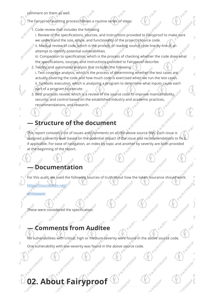comment on them as well.

- The Fairyproof auditing process follows a routine series of steps:
- 1. Code review that includes the following
	- i. Review of the specifications, sources, and instructions provided to Fairyproof to make sure we understand the size, scope, and functionality of the project's source code. ii. Manual review of code, which is the process of reading source code line-by-line in an
		- attempt to identify potential vulnerabilities.
		- iii. Comparison to specification, which is the process of checking whether the code does what the specifications, sources, and instructions provided to Fairyproof describe.

Ś

- 2. Testing and automated analysis that includes the following: i. Test coverage analysis, which is the process of determining whether the test cases are actually covering the code and how much code is exercised when we run the test cases. ii. Symbolic execution, which is analyzing a program to determine what inputs cause each part of a program to execute.
- 3. Best practices review, which is a review of the source code to improve maintainability, security, and control based on the established industry and academic practices, recommendations, and research.

#### **— Structure of the document**

This report contains a list of issues and comments on all the above source files. Each issue is assigned a severity level based on the potential impact of the issue and recommendations to fix it, if applicable. For ease of navigation, an index by topic and another by severity are both provided at the beginning of the report.

#### **— Documentation**

For this audit, we used the following sources of truth about how the token issurance should work: <https://insuretoken.net/>

[whitepaper](https://insuretoken.net/whitepaper.html)

 $\frac{1}{b}$ 

S

**PHR** 

É

ë

These were considered the specification.

#### **— Comments from Auditee**

No vulnerabilities with critical, high or medium-severity were found in the above source code.

One vulnerability with low-severity was found in the above source code.

### **02. About Fairyproof**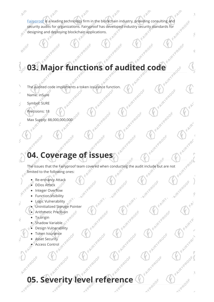AVR. Fairy proof is a leading technology firm in the blockchain industry, providing consulting and security audits for organizations. Fairy proof has developed industry security standards for designing and deploying blockchain security audits for organizations. Fairyproof has developed industry security standards for designing and deploying blockchain applications.

P,

Ś

Q

F. ANRY PROOF

FAIRY PROOF

Algregade

FAIRYPROOF

Yemook

EAIRY PROOF

FAIRY PROOF

FAIRY PROOF

FAIRYPROOF

Vegeor

AlmyPrepor

F. Alfriquoof

FAIRYPROOF

FAIRY PROOF

FAIRY PROOF

FAIRY ROOF

Algyphook

# **03. Major functions of audited code**

TPROOF

- The audited code implements a token issurance function.<br>
Name: inSure<br>
Symbol: SURE
- Name: inSure

ROOF

Symbol: SURE Ń,

 $\frac{1}{\pi}$ 

S

Ŷ.

ë

Precisions: 18

Max Supply: 88,000,000,000

#### **04. Coverage of issues**

reggook

The issues that the Fairyproof team covered when conducting the audit include but are not limited to the following ones: limited to the following ones:

FAIRYPROOF

FAIRY PROOF

Algyphoop

Algyphook

- Re-entrancy Attack
- DDos Attack
- Integer Overflow
- **P-YPRO** Function Visibility
	- Logic Vulnerability
	- Uninitialized Storage Pointer

Algregoe

- Arithmetic Precision<br>Tx.origin
- Tx.origin
- Shadow Variable
- Design Vulnerability
- Token Issurance<br>Asset Security<br>Access Contraction
- Asset Security
- **Access Control**

# **05. Severity level reference**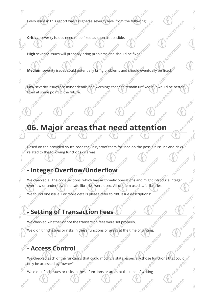Every issue in this report was assigned a severity level from the following:

**Critical** severity issues need to be fixed as soon as possible.

Ç

FE

S

ë

RDOF

**High** severity issues will probably bring problems and should be fixed.

**Medium** severity issues could potentially bring problems and should eventually be fixed.

**Low** severity issues are minor details and warnings that can remain unfixed but would be better fixed at some point in the future. fixed at some point in the future.

S

Q

3

Q

FAIRY PROOF

#### **06. Major areas that need attention**

Based on the provided souce code the Fairyproof team focused on the possible issues and risks related to the following functions or areas.

#### 1200 **- Integer Overflow/Underflow**

We checked all the code sections, which had arithmetic operations and might introduce integer overflow or underflow if no safe libraries were used. All of them used safe libraries.

We found one issue. For more details please refer to "08. Issue descriptions".

#### **- Setting of Transaction Fees**

We checked whether or not the transaction fees were set properly.

We didn't find issues or risks in these functions or areas at the time of writing.

#### **- Access Control**

**HPROOF** 

F. Antry Roof We checked each of the functions that could modify a state, especially those functions that could only be accessed by "owner".

Vegoor

We didn't find issues or risks in these functions or areas at the time of writing.

TPROOF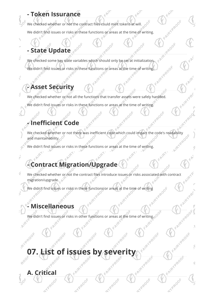#### **- Token Issurance**

We checked whether or not the contract files could mint tokens at will.

We didn't find issues or risks in these functions or areas at the time of writing.

FAIRY PROOF

Algregoe

2R-00F

AVR 1

FAIRYPROOF

FAIRY REDOF

FAIRYPROOF

VeRook

Ŝ

Algyphoof

TPROOF

#### **- State Update**

We checked some key state variables which should only be set at initialization. FAIRYPROOF We didn't find issues or risks in these functions or areas at the time of writing.

#### **- Asset Security**

 $\tilde{t}$ 

S

ó

We checked whether or not all the functions that transfer assets were safely hanlded. We didn't find issues or risks in these functions or areas at the time of writing.

#### **- Inefficient Code**

We checked whether or not there was inefficient code which could impact the code's readability and maintainability.<br>We didn't find issues or risks in these functions or are all the code's readability we didn't find issues and maintainability.

We didn't find issues or risks in these functions or areas at the time of writing.

#### **- Contract Migration/Upgrade**

We checked whether or not the contract files introduce issues or risks associated with contract migration/upgrade.

We didn't find issues or risks in these functions or areas at the time of writing

#### **- Miscellaneous**

**A. Critical**

17PR00

We didn't find issues or risks in other functions or areas at the time of writing.

### **07. List of issues by severity** AVROOF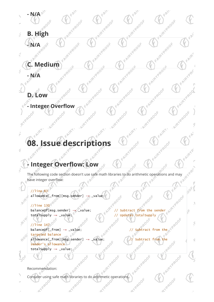

### **08. Issue descriptions**

#### **Integer Overflow: Low**

The following code section doesn't use safe math libraries to do arithmetic operations and may  $\mathbb{R}^{\mathbb{R}^{\mathbb{N}}}$ 2000 have integer overflow:

#### //line 83

allowance [\_from] [msg.sender] -= \_value;<br>
//line 130<br>
balance<br>
f[msg.sender] --//line  $130^{\circ}$  $\frac{130^{\circ}}{\text{balance}}$ <br>balanceOf[msg.sender] -=  $\frac{130^{\circ}}{\text{value}}$ ;<br>totalSupply -= \_value;

#### $//$ line 147

į

Š

 $\mathbb{R}$ 

AVRI

**PAR** 

8000

 $\mathcal{V}_{\diamond_{\kappa}}$ 

totalSupply -= \_value;<br>
// Updates totalSupply<br>  $\frac{1}{2}$ <br>
balance of Lefrom -= \_value;<br>
targeted balance<br>
allowance from the allowance from the allowance from the allowance from the allowance from the allowance of the al balanceOf[\_from] -= \_value;<br>targeted balance targeted balance allowance[\_from][msg.sender] -= \_value;<br>sender's allowance<br>totalsupply -= \_value; sender's allowance totalSupply -= \_value;

FAIRY RADOF

FAIRYPROOF

EALEYPROOF

FAIRY PROOF

Avenue Avenue

 $30^{6}$ 

 $\mathcal{R}$ 

Ŝ

Ò

Recommendation:

2000

Consider using safe math libraries to do arithmetic operations.